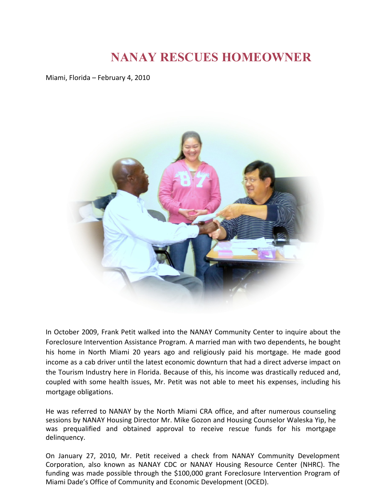## **NANAY RESCUES HOMEOWNER**

Miami, Florida – February 4, 2010



In October 2009, Frank Petit walked into the NANAY Community Center to inquire about the Foreclosure Intervention Assistance Program. A married man with two dependents, he bought his home in North Miami 20 years ago and religiously paid his mortgage. He made good income as a cab driver until the latest economic downturn that had a direct adverse impact on the Tourism Industry here in Florida. Because of this, his income was drastically reduced and, coupled with some health issues, Mr. Petit was not able to meet his expenses, including his mortgage obligations.

He was referred to NANAY by the North Miami CRA office, and after numerous counseling sessions by NANAY Housing Director Mr. Mike Gozon and Housing Counselor Waleska Yip, he was prequalified and obtained approval to receive rescue funds for his mortgage delinquency.

On January 27, 2010, Mr. Petit received a check from NANAY Community Development Corporation, also known as NANAY CDC or NANAY Housing Resource Center (NHRC). The funding was made possible through the \$100,000 grant Foreclosure Intervention Program of Miami Dade's Office of Community and Economic Development (OCED).